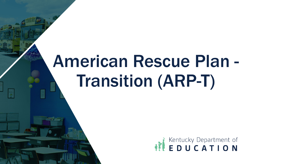# American Rescue Plan - Transition (ARP-T)

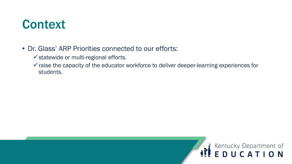### **Context**

- Dr. Glass' ARP Priorities connected to our efforts:
	- $\checkmark$  statewide or multi-regional efforts.
	- $\checkmark$  raise the capacity of the educator workforce to deliver deeper-learning experiences for students.

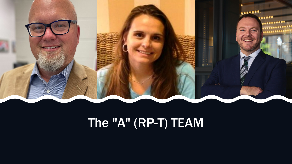# The "A" (RP-T) TEAM

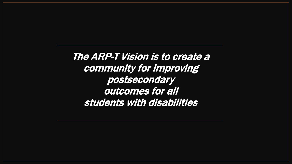The ARP-T Vision is to create a community for improving postsecondary outcomes for all students with disabilities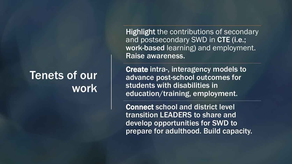### Tenets of our work

Highlight the contributions of secondary and postsecondary SWD in CTE (i.e.; work-based learning) and employment. Raise awareness.

Create intra-, interagency models to advance post-school outcomes for students with disabilities in education/training, employment.

Connect school and district level transition LEADERS to share and develop opportunities for SWD to prepare for adulthood. Build capacity.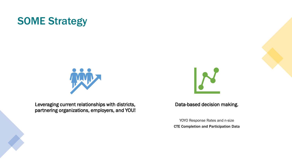### SOME Strategy



Leveraging current relationships with districts, partnering organizations, employers, and YOU!



#### Data-based decision making.

YOYO Response Rates and n-size CTE Completion and Participation Data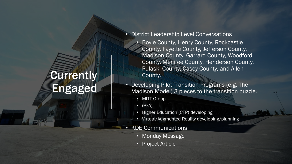## **Currently** Engaged

- District Leadership Level Conversations
	- Boyle County, Henry County, Rockcastle County, Fayette County, Jefferson County, Madison County, Garrard County, Woodford County, Menifee County, Henderson County, Pulaski County, Casey County, and Allen County.
- Developing Pilot Transition Programs (e.g. The Madison Model) 3 pieces to the transition puzzle.
	- **MITT Group**
	- (PFA)
	- Higher Education (CTP) developing
	- Virtual/Augmented Reality developing/planning

#### • KDE Communications

- Monday Message
- Project Article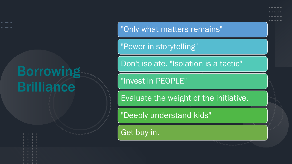### Borrowing **Brilliance**

"Only what matters remains"

"Power in storytelling"

Don<sup>'t</sup> isolate. "Isolation is a tactic"

"Invest in PEOPLE"

Evaluate the weight of the initiative.

"Deeply understand kids"

Get buy-in.

......... . . . . . . . . .